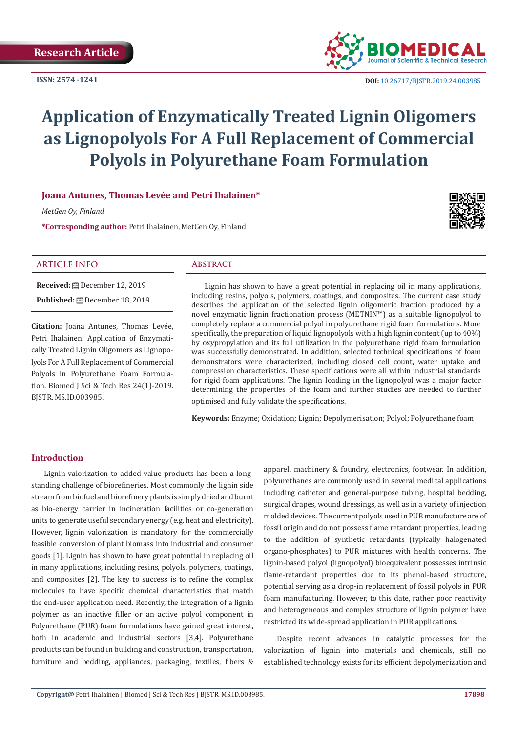**ISSN: 2574 -1241**



# **Application of Enzymatically Treated Lignin Oligomers as Lignopolyols For A Full Replacement of Commercial Polyols in Polyurethane Foam Formulation**

# **Joana Antunes, Thomas Levée and Petri Ihalainen\***

*MetGen Oy, Finland*

**\*Corresponding author:** Petri Ihalainen, MetGen Oy, Finland



# **ARTICLE INFO Abstract**

**Received:** December 12, 2019 **Published:** December 18, 2019

**Citation:** Joana Antunes, Thomas Levée, Petri Ihalainen. Application of Enzymatically Treated Lignin Oligomers as Lignopolyols For A Full Replacement of Commercial Polyols in Polyurethane Foam Formulation. Biomed J Sci & Tech Res 24(1)-2019. BJSTR. MS.ID.003985.

Lignin has shown to have a great potential in replacing oil in many applications, including resins, polyols, polymers, coatings, and composites. The current case study describes the application of the selected lignin oligomeric fraction produced by a novel enzymatic lignin fractionation process (METNIN™) as a suitable lignopolyol to completely replace a commercial polyol in polyurethane rigid foam formulations. More specifically, the preparation of liquid lignopolyols with a high lignin content (up to 40%) by oxypropylation and its full utilization in the polyurethane rigid foam formulation was successfully demonstrated. In addition, selected technical specifications of foam demonstrators were characterized, including closed cell count, water uptake and compression characteristics. These specifications were all within industrial standards for rigid foam applications. The lignin loading in the lignopolyol was a major factor determining the properties of the foam and further studies are needed to further optimised and fully validate the specifications.

**Keywords:** Enzyme; Oxidation; Lignin; Depolymerisation; Polyol; Polyurethane foam

# **Introduction**

Lignin valorization to added-value products has been a longstanding challenge of biorefineries. Most commonly the lignin side stream from biofuel and biorefinery plants is simply dried and burnt as bio-energy carrier in incineration facilities or co-generation units to generate useful secondary energy (e.g. heat and electricity). However, lignin valorization is mandatory for the commercially feasible conversion of plant biomass into industrial and consumer goods [1]. Lignin has shown to have great potential in replacing oil in many applications, including resins, polyols, polymers, coatings, and composites [2]. The key to success is to refine the complex molecules to have specific chemical characteristics that match the end-user application need. Recently, the integration of a lignin polymer as an inactive filler or an active polyol component in Polyurethane (PUR) foam formulations have gained great interest, both in academic and industrial sectors [3,4]. Polyurethane products can be found in building and construction, transportation, furniture and bedding, appliances, packaging, textiles, fibers &

apparel, machinery & foundry, electronics, footwear. In addition, polyurethanes are commonly used in several medical applications including catheter and general-purpose tubing, hospital bedding, surgical drapes, wound dressings, as well as in a variety of injection molded devices. The current polyols used in PUR manufacture are of fossil origin and do not possess flame retardant properties, leading to the addition of synthetic retardants (typically halogenated organo-phosphates) to PUR mixtures with health concerns. The lignin-based polyol (lignopolyol) bioequivalent possesses intrinsic flame-retardant properties due to its phenol-based structure, potential serving as a drop-in replacement of fossil polyols in PUR foam manufacturing. However, to this date, rather poor reactivity and heterogeneous and complex structure of lignin polymer have restricted its wide-spread application in PUR applications.

Despite recent advances in catalytic processes for the valorization of lignin into materials and chemicals, still no established technology exists for its efficient depolymerization and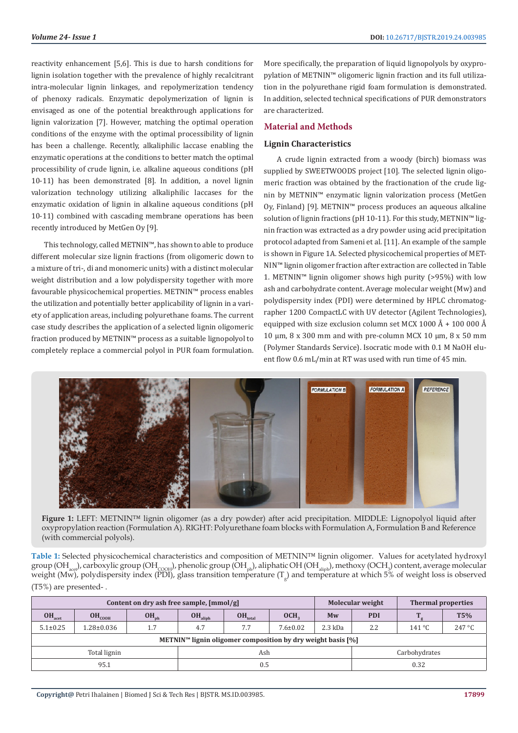reactivity enhancement [5,6]. This is due to harsh conditions for lignin isolation together with the prevalence of highly recalcitrant intra-molecular lignin linkages, and repolymerization tendency of phenoxy radicals. Enzymatic depolymerization of lignin is envisaged as one of the potential breakthrough applications for lignin valorization [7]. However, matching the optimal operation conditions of the enzyme with the optimal processibility of lignin has been a challenge. Recently, alkaliphilic laccase enabling the enzymatic operations at the conditions to better match the optimal processibility of crude lignin, i.e. alkaline aqueous conditions (pH 10-11) has been demonstrated [8]. In addition, a novel lignin valorization technology utilizing alkaliphilic laccases for the enzymatic oxidation of lignin in alkaline aqueous conditions (pH 10-11) combined with cascading membrane operations has been recently introduced by MetGen Oy [9].

This technology, called METNIN™, has shown to able to produce different molecular size lignin fractions (from oligomeric down to a mixture of tri-, di and monomeric units) with a distinct molecular weight distribution and a low polydispersity together with more favourable physicochemical properties. METNIN™ process enables the utilization and potentially better applicability of lignin in a variety of application areas, including polyurethane foams. The current case study describes the application of a selected lignin oligomeric fraction produced by METNIN™ process as a suitable lignopolyol to completely replace a commercial polyol in PUR foam formulation. More specifically, the preparation of liquid lignopolyols by oxypropylation of METNIN™ oligomeric lignin fraction and its full utilization in the polyurethane rigid foam formulation is demonstrated. In addition, selected technical specifications of PUR demonstrators are characterized.

# **Material and Methods**

# **Lignin Characteristics**

A crude lignin extracted from a woody (birch) biomass was supplied by SWEETWOODS project [10]. The selected lignin oligomeric fraction was obtained by the fractionation of the crude lignin by METNIN™ enzymatic lignin valorization process (MetGen Oy, Finland) [9]. METNIN™ process produces an aqueous alkaline solution of lignin fractions (pH 10-11). For this study, METNIN™ lignin fraction was extracted as a dry powder using acid precipitation protocol adapted from Sameni et al. [11]. An example of the sample is shown in Figure 1A. Selected physicochemical properties of MET-NIN™ lignin oligomer fraction after extraction are collected in Table 1. METNIN™ lignin oligomer shows high purity (>95%) with low ash and carbohydrate content. Average molecular weight (Mw) and polydispersity index (PDI) were determined by HPLC chromatographer 1200 CompactLC with UV detector (Agilent Technologies), equipped with size exclusion column set MCX 1000  $\AA$  + 100 000  $\AA$ 10 μm,  $8 \times 300$  mm and with pre-column MCX 10 μm,  $8 \times 50$  mm (Polymer Standards Service). Isocratic mode with 0.1 M NaOH eluent flow 0.6 mL/min at RT was used with run time of 45 min.



**Figure 1:** LEFT: METNIN™ lignin oligomer (as a dry powder) after acid precipitation. MIDDLE: Lignopolyol liquid after oxypropylation reaction (Formulation A). RIGHT: Polyurethane foam blocks with Formulation A, Formulation B and Reference (with commercial polyols).

**Table 1:** Selected physicochemical characteristics and composition of METNIN™ lignin oligomer. Values for acetylated hydroxyl group (OH<sub>acet</sub>), carboxylic group (OH<sub>COOH</sub>), phenolic group (OH<sub>ph</sub>), aliphatic OH (OH<sub>aliph</sub>), methoxy (OCH<sub>3</sub>) content, average molecular weight (Mw), polydispersity index (PDI), glass transition temperature  $(T_g)$  and temperature at which 5% of weight loss is observed (T5%) are presented- .

| Content on dry ash free sample, [mmol/g]                                  |                  |           |                     |              |                  | Molecular weight<br><b>Thermal properties</b> |               |        |                 |
|---------------------------------------------------------------------------|------------------|-----------|---------------------|--------------|------------------|-----------------------------------------------|---------------|--------|-----------------|
| OH <sub>act</sub>                                                         | $OH_{COOH}$      | $OH_{ph}$ | OH <sub>aliph</sub> | $OH_{total}$ | OCH <sub>2</sub> | Mw                                            | <b>PDI</b>    |        | T5%             |
| $5.1 \pm 0.25$                                                            | $1.28 \pm 0.036$ | 1.7       | 4.7                 | 7.7          | $7.6 \pm 0.02$   | $2.3$ kDa                                     | 2.2           | 141 °C | $247^{\circ}$ C |
| METNIN <sup>™</sup> lignin oligomer composition by dry weight basis $[%]$ |                  |           |                     |              |                  |                                               |               |        |                 |
|                                                                           | Total lignin     |           |                     | Ash          |                  |                                               | Carbohydrates |        |                 |
| 95.1                                                                      |                  |           | 0.5                 |              |                  |                                               | 0.32          |        |                 |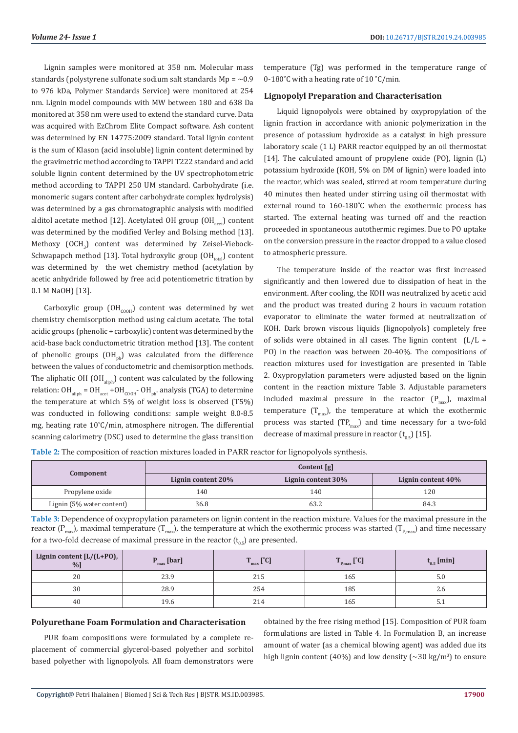Lignin samples were monitored at 358 nm. Molecular mass standards (polystyrene sulfonate sodium salt standards  $Mp = \sim 0.9$ to 976 kDa, Polymer Standards Service) were monitored at 254 nm. Lignin model compounds with MW between 180 and 638 Da monitored at 358 nm were used to extend the standard curve. Data was acquired with EzChrom Elite Compact software. Ash content was determined by EN 14775:2009 standard. Total lignin content is the sum of Klason (acid insoluble) lignin content determined by the gravimetric method according to TAPPI T222 standard and acid soluble lignin content determined by the UV spectrophotometric method according to TAPPI 250 UM standard. Carbohydrate (i.e. monomeric sugars content after carbohydrate complex hydrolysis) was determined by a gas chromatographic analysis with modified alditol acetate method [12]. Acetylated OH group  $(OH_{\text{act}})$  content was determined by the modified Verley and Bolsing method [13]. Methoxy  $\text{(OCH}_{3})$  content was determined by Zeisel-Viebock-Schwapapch method [13]. Total hydroxylic group  $(OH_{total})$  content was determined by the wet chemistry method (acetylation by acetic anhydride followed by free acid potentiometric titration by 0.1 M NaOH) [13].

Carboxylic group  $(OH_{\text{coOH}})$  content was determined by wet chemistry chemisorption method using calcium acetate. The total acidic groups (phenolic + carboxylic) content was determined by the acid-base back conductometric titration method [13]. The content of phenolic groups  $(OH_{ph})$  was calculated from the difference between the values of conductometric and chemisorption methods. The aliphatic OH  $(OH_{alinh})$  content was calculated by the following relation:  $OH_{\text{aliph}} = OH_{\text{acet}} + OH_{\text{coOH}}$  -  $OH_{\text{ph}}$  analysis (TGA) to determine the temperature at which 5% of weight loss is observed (T5%) was conducted in following conditions: sample weight 8.0-8.5 mg, heating rate 10˚C/min, atmosphere nitrogen. The differential scanning calorimetry (DSC) used to determine the glass transition temperature (Tg) was performed in the temperature range of 0-180°C with a heating rate of 10 °C/min.

### **Lignopolyl Preparation and Characterisation**

Liquid lignopolyols were obtained by oxypropylation of the lignin fraction in accordance with anionic polymerization in the presence of potassium hydroxide as a catalyst in high pressure laboratory scale (1 L) PARR reactor equipped by an oil thermostat [14]. The calculated amount of propylene oxide (PO), lignin (L) potassium hydroxide (KOH, 5% on DM of lignin) were loaded into the reactor, which was sealed, stirred at room temperature during 40 minutes then heated under stirring using oil thermostat with external round to 160-180˚C when the exothermic process has started. The external heating was turned off and the reaction proceeded in spontaneous autothermic regimes. Due to PO uptake on the conversion pressure in the reactor dropped to a value closed to atmospheric pressure.

The temperature inside of the reactor was first increased significantly and then lowered due to dissipation of heat in the environment. After cooling, the KOH was neutralized by acetic acid and the product was treated during 2 hours in vacuum rotation evaporator to eliminate the water formed at neutralization of KOH. Dark brown viscous liquids (lignopolyols) completely free of solids were obtained in all cases. The lignin content (L/L + PO) in the reaction was between 20-40%. The compositions of reaction mixtures used for investigation are presented in Table 2. Oxypropylation parameters were adjusted based on the lignin content in the reaction mixture Table 3. Adjustable parameters included maximal pressure in the reactor  $(P_{max})$ , maximal temperature  $(T_{\text{max}})$ , the temperature at which the exothermic process was started  $(TP_{max})$  and time necessary for a two-fold decrease of maximal pressure in reactor  $(t_{0.5})$  [15].

**Table 2:** The composition of reaction mixtures loaded in PARR reactor for lignopolyols synthesis.

|                           | Content [g]        |                    |                    |  |  |  |
|---------------------------|--------------------|--------------------|--------------------|--|--|--|
| Component                 | Lignin content 20% | Lignin content 30% | Lignin content 40% |  |  |  |
| Propylene oxide           | 140                | 140                | 120                |  |  |  |
| Lignin (5% water content) | 36.8               | 63.2               | 84.3               |  |  |  |

**Table 3:** Dependence of oxypropylation parameters on lignin content in the reaction mixture. Values for the maximal pressure in the reactor  $(P_{\text{max}})$ , maximal temperature  $(T_{\text{max}})$ , the temperature at which the exothermic process was started  $(T_{\text{max}})$  and time necessary for a two-fold decrease of maximal pressure in the reactor  $(t_{0.5})$  are presented.

| Lignin content [ $L/(L+PO)$ ,<br>%]<br>$P_{\text{max}}$ [bar] |      | $F^{0}$ cl<br>$\mathsf{L}_{\max}$ L $\mathsf{L}_{\max}$ | m<br>$\mathbf{P}$ <sub>P,max</sub> $\mathbf{L}$ | $t_{0.5}$ [min] |  |
|---------------------------------------------------------------|------|---------------------------------------------------------|-------------------------------------------------|-----------------|--|
| 20                                                            | 23.9 | 215                                                     | 165                                             | 5.U             |  |
| 30                                                            | 28.9 | 254                                                     | 185                                             | z.c             |  |
| 40                                                            | 19.6 | 214                                                     | 165                                             | ے ت             |  |

#### **Polyurethane Foam Formulation and Characterisation**

PUR foam compositions were formulated by a complete replacement of commercial glycerol-based polyether and sorbitol based polyether with lignopolyols. All foam demonstrators were obtained by the free rising method [15]. Composition of PUR foam formulations are listed in Table 4. In Formulation B, an increase amount of water (as a chemical blowing agent) was added due its high lignin content (40%) and low density ( $\sim$ 30 kg/m<sup>3</sup>) to ensure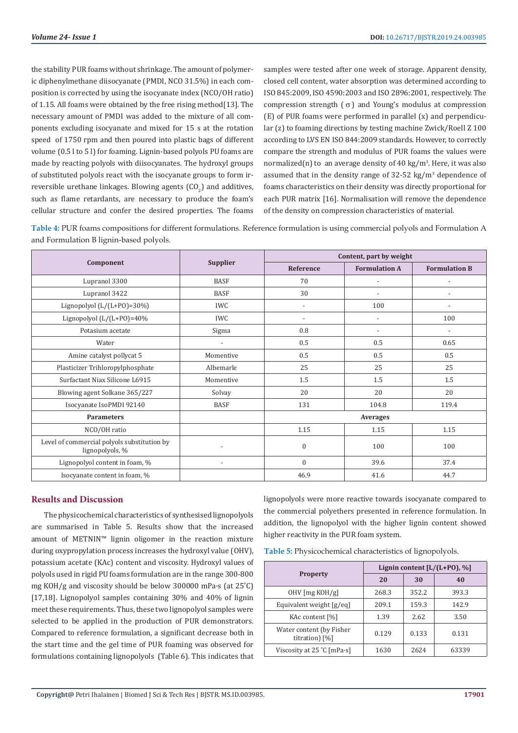the stability PUR foams without shrinkage. The amount of polymeric diphenylmethane diisocyanate (PMDI, NCO 31.5%) in each composition is corrected by using the isocyanate index (NCO/OH ratio) of 1.15. All foams were obtained by the free rising method[13]. The necessary amount of PMDI was added to the mixture of all components excluding isocyanate and mixed for 15 s at the rotation speed of 1750 rpm and then poured into plastic bags of different volume (0.5 l to 5 l) for foaming. Lignin-based polyols PU foams are made by reacting polyols with diisocyanates. The hydroxyl groups of substituted polyols react with the isocyanate groups to form irreversible urethane linkages. Blowing agents  $({\rm CO}_2)$  and additives, such as flame retardants, are necessary to produce the foam's cellular structure and confer the desired properties. The foams

samples were tested after one week of storage. Apparent density, closed cell content, water absorption was determined according to ISO 845:2009, ISO 4590:2003 and ISO 2896:2001, respectively. The compression strength  $(\sigma)$  and Young's modulus at compression (E) of PUR foams were performed in parallel (x) and perpendicular (z) to foaming directions by testing machine Zwick/Roell Z 100 according to LVS EN ISO 844:2009 standards. However, to correctly compare the strength and modulus of PUR foams the values were normalized(n) to an average density of 40 kg/m<sup>3</sup>. Here, it was also assumed that in the density range of  $32-52 \text{ kg/m}^3$  dependence of foams characteristics on their density was directly proportional for each PUR matrix [16]. Normalisation will remove the dependence of the density on compression characteristics of material.

**Table 4:** PUR foams compositions for different formulations. Reference formulation is using commercial polyols and Formulation A and Formulation B lignin-based polyols.

|                                                                |                          | Content, part by weight |                          |                          |  |
|----------------------------------------------------------------|--------------------------|-------------------------|--------------------------|--------------------------|--|
| Component                                                      | <b>Supplier</b>          | Reference               | <b>Formulation A</b>     | <b>Formulation B</b>     |  |
| Lupranol 3300                                                  | <b>BASF</b>              | 70                      |                          | $\overline{\phantom{a}}$ |  |
| Lupranol 3422                                                  | <b>BASF</b>              | 30                      | $\overline{\phantom{a}}$ | $\overline{\phantom{a}}$ |  |
| Lignopolyol $(L/(L+PO)=30\%)$                                  | <b>IWC</b>               | $\overline{a}$          | 100                      | $\overline{a}$           |  |
| Lignopolyol $(L/(L+PO)=40\%$                                   | <b>IWC</b>               | $\overline{a}$          | $\overline{\phantom{a}}$ | 100                      |  |
| Potasium acetate                                               | Sigma                    | 0.8                     | $\overline{a}$           | $\overline{a}$           |  |
| Water                                                          | $\overline{\phantom{a}}$ | 0.5                     | 0.5                      | 0.65                     |  |
| Amine catalyst pollycat 5                                      | Momentive                | 0.5                     | 0.5                      | 0.5                      |  |
| Plasticizer Trihloropylphosphate                               | Albemarle                | 25                      | 25                       | 25                       |  |
| Surfactant Niax Silicone L6915                                 | Momentive                | 1.5                     | 1.5                      | 1.5                      |  |
| Blowing agent Solkane 365/227                                  | Solvay                   | 20                      | 20                       | 20                       |  |
| Isocyanate IsoPMDI 92140                                       | <b>BASF</b>              | 131                     | 104.8                    | 119.4                    |  |
| <b>Parameters</b>                                              |                          | Averages                |                          |                          |  |
| NCO/OH ratio                                                   |                          | 1.15                    | 1.15                     | 1.15                     |  |
| Level of commercial polyols substitution by<br>lignopolyols, % | $\overline{\phantom{a}}$ | $\mathbf{0}$            | 100                      | 100                      |  |
| Lignopolyol content in foam, %                                 | $\overline{\phantom{a}}$ | $\Omega$                | 39.6                     | 37.4                     |  |
| Isocyanate content in foam, %                                  |                          | 46.9                    | 41.6                     | 44.7                     |  |

# **Results and Discussion**

The physicochemical characteristics of synthesised lignopolyols are summarised in Table 5. Results show that the increased amount of METNIN™ lignin oligomer in the reaction mixture during oxypropylation process increases the hydroxyl value (OHV), potassium acetate (KAc) content and viscosity. Hydroxyl values of polyols used in rigid PU foams formulation are in the range 300-800 mg KOH/g and viscosity should be below 300000 mPa·s (at 25˚C) [17,18]. Lignopolyol samples containing 30% and 40% of lignin meet these requirements. Thus, these two lignopolyol samples were selected to be applied in the production of PUR demonstrators. Compared to reference formulation, a significant decrease both in the start time and the gel time of PUR foaming was observed for formulations containing lignopolyols (Table 6). This indicates that

lignopolyols were more reactive towards isocyanate compared to the commercial polyethers presented in reference formulation. In addition, the lignopolyol with the higher lignin content showed higher reactivity in the PUR foam system.

|                                            | Lignin content $[L/(L+PO),\%]$ |       |       |  |  |
|--------------------------------------------|--------------------------------|-------|-------|--|--|
| <b>Property</b>                            | 20                             | 30    | 40    |  |  |
| $OHV$ [mg KOH/g]                           | 268.3                          | 352.2 | 393.3 |  |  |
| Equivalent weight [g/eq]                   | 209.1                          | 159.3 | 142.9 |  |  |
| KAc content [%]                            | 1.39                           | 2.62  | 3.50  |  |  |
| Water content (by Fisher<br>titration) [%] | 0.129                          | 0.133 | 0.131 |  |  |
| Viscosity at 25 °C [mPa·s]                 | 1630                           | 2624  | 63339 |  |  |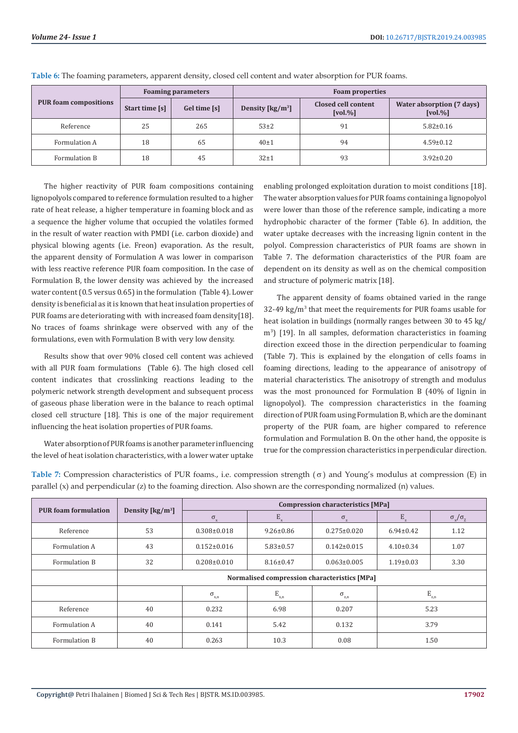|                              | <b>Foaming parameters</b> |              | <b>Foam properties</b>                              |                                                |                                                      |  |  |
|------------------------------|---------------------------|--------------|-----------------------------------------------------|------------------------------------------------|------------------------------------------------------|--|--|
| <b>PUR foam compositions</b> | Start time [s]            | Gel time [s] | Density $\left[\frac{\text{kg}}{\text{m}^3}\right]$ | Closed cell content<br>$\lceil vol. \% \rceil$ | Water absorption (7 days)<br>$\lceil vol. \% \rceil$ |  |  |
| Reference                    | 25                        | 265          | $53+2$                                              | 91                                             | $5.82 \pm 0.16$                                      |  |  |
| Formulation A                | 18                        | 65           | $40 \pm 1$                                          | 94                                             | $4.59 \pm 0.12$                                      |  |  |
| Formulation B                | 18                        | 45           | $32+1$                                              | 93                                             | $3.92 \pm 0.20$                                      |  |  |

**Table 6:** The foaming parameters, apparent density, closed cell content and water absorption for PUR foams.

The higher reactivity of PUR foam compositions containing lignopolyols compared to reference formulation resulted to a higher rate of heat release, a higher temperature in foaming block and as a sequence the higher volume that occupied the volatiles formed in the result of water reaction with PMDI (i.e. carbon dioxide) and physical blowing agents (i.e. Freon) evaporation. As the result, the apparent density of Formulation A was lower in comparison with less reactive reference PUR foam composition. In the case of Formulation B, the lower density was achieved by the increased water content (0.5 versus 0.65) in the formulation (Table 4). Lower density is beneficial as it is known that heat insulation properties of PUR foams are deteriorating with with increased foam density[18]. No traces of foams shrinkage were observed with any of the formulations, even with Formulation B with very low density.

Results show that over 90% closed cell content was achieved with all PUR foam formulations (Table 6). The high closed cell content indicates that crosslinking reactions leading to the polymeric network strength development and subsequent process of gaseous phase liberation were in the balance to reach optimal closed cell structure [18]. This is one of the major requirement influencing the heat isolation properties of PUR foams.

Water absorption of PUR foams is another parameter influencing the level of heat isolation characteristics, with a lower water uptake enabling prolonged exploitation duration to moist conditions [18]. The water absorption values for PUR foams containing a lignopolyol were lower than those of the reference sample, indicating a more hydrophobic character of the former (Table 6). In addition, the water uptake decreases with the increasing lignin content in the polyol. Compression characteristics of PUR foams are shown in Table 7. The deformation characteristics of the PUR foam are dependent on its density as well as on the chemical composition and structure of polymeric matrix [18].

The apparent density of foams obtained varied in the range 32-49 kg/m<sup>3</sup> that meet the requirements for PUR foams usable for heat isolation in buildings (normally ranges between 30 to 45 kg/ m<sup>3</sup> ) [19]. In all samples, deformation characteristics in foaming direction exceed those in the direction perpendicular to foaming (Table 7). This is explained by the elongation of cells foams in foaming directions, leading to the appearance of anisotropy of material characteristics. The anisotropy of strength and modulus was the most pronounced for Formulation B (40% of lignin in lignopolyol). The compression characteristics in the foaming direction of PUR foam using Formulation B, which are the dominant property of the PUR foam, are higher compared to reference formulation and Formulation B. On the other hand, the opposite is true for the compression characteristics in perpendicular direction.

**Table 7:** Compression characteristics of PUR foams., i.e. compression strength  $(\sigma)$  and Young's modulus at compression (E) in parallel (x) and perpendicular (z) to the foaming direction. Also shown are the corresponding normalized (n) values.

| <b>PUR</b> foam formulation | Density $\left[\frac{\text{kg}}{\text{m}^3}\right]$ | <b>Compression characteristics [MPa]</b> |                 |                       |                 |                                 |  |  |
|-----------------------------|-----------------------------------------------------|------------------------------------------|-----------------|-----------------------|-----------------|---------------------------------|--|--|
|                             |                                                     | $\sigma_{\rm x}$                         | $E_{x}$         | $\sigma_{\rm z}$      | $E_{\rm z}$     | $\sigma_{\rm x}/\sigma_{\rm z}$ |  |  |
| Reference                   | 53                                                  | $0.308 \pm 0.018$                        | $9.26 \pm 0.86$ | $0.275 \pm 0.020$     | $6.94 \pm 0.42$ | 1.12                            |  |  |
| Formulation A               | 43                                                  | $0.152 \pm 0.016$                        | $5.83 \pm 0.57$ | $0.142 \pm 0.015$     | $4.10\pm0.34$   | 1.07                            |  |  |
| Formulation B               | 32                                                  | $0.208 \pm 0.010$                        | $8.16 \pm 0.47$ | $0.063 \pm 0.005$     | $1.19 \pm 0.03$ |                                 |  |  |
|                             | Normalised compression characteristics [MPa]        |                                          |                 |                       |                 |                                 |  |  |
|                             |                                                     | $\sigma_{\textbf{x},\textbf{n}}$         | $E_{x,n}$       | $\sigma_{_{\rm z,n}}$ |                 | $\mathbf{E}_{\text{z,n}}$       |  |  |
| Reference                   | 40                                                  | 0.232                                    | 6.98            | 0.207                 | 5.23            |                                 |  |  |
| Formulation A               | 40                                                  | 0.141                                    | 5.42            | 0.132                 | 3.79            |                                 |  |  |
| Formulation B               | 40                                                  | 0.263                                    | 10.3            | 0.08                  | 1.50            |                                 |  |  |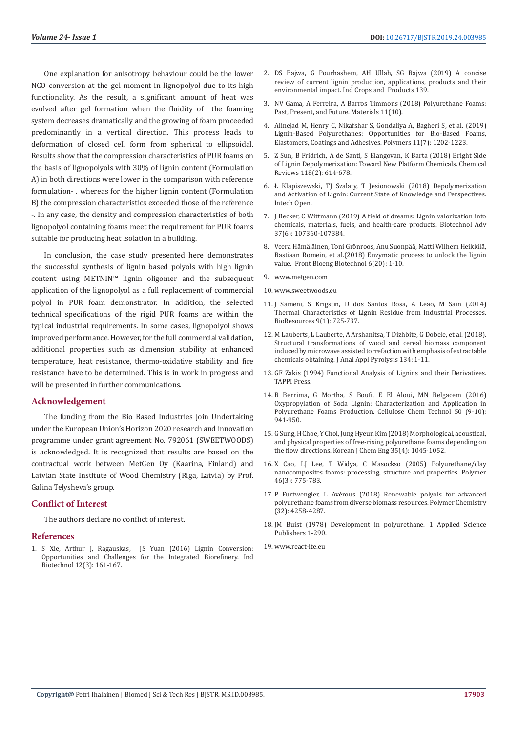One explanation for anisotropy behaviour could be the lower NCO conversion at the gel moment in lignopolyol due to its high functionality. As the result, a significant amount of heat was evolved after gel formation when the fluidity of the foaming system decreases dramatically and the growing of foam proceeded predominantly in a vertical direction. This process leads to deformation of closed cell form from spherical to ellipsoidal. Results show that the compression characteristics of PUR foams on the basis of lignopolyols with 30% of lignin content (Formulation A) in both directions were lower in the comparison with reference formulation- , whereas for the higher lignin content (Formulation B) the compression characteristics exceeded those of the reference -. In any case, the density and compression characteristics of both lignopolyol containing foams meet the requirement for PUR foams suitable for producing heat isolation in a building.

In conclusion, the case study presented here demonstrates the successful synthesis of lignin based polyols with high lignin content using METNIN™ lignin oligomer and the subsequent application of the lignopolyol as a full replacement of commercial polyol in PUR foam demonstrator. In addition, the selected technical specifications of the rigid PUR foams are within the typical industrial requirements. In some cases, lignopolyol shows improved performance. However, for the full commercial validation, additional properties such as dimension stability at enhanced temperature, heat resistance, thermo-oxidative stability and fire resistance have to be determined. This is in work in progress and will be presented in further communications.

#### **Acknowledgement**

The funding from the Bio Based Industries join Undertaking under the European Union's Horizon 2020 research and innovation programme under grant agreement No. 792061 (SWEETWOODS) is acknowledged. It is recognized that results are based on the contractual work between MetGen Oy (Kaarina, Finland) and Latvian State Institute of Wood Chemistry (Riga, Latvia) by Prof. Galina Telysheva's group.

# **Conflict of Interest**

The authors declare no conflict of interest.

#### **References**

1. [S Xie, Arthur J, Ragauskas, JS Yuan \(2016\) Lignin Conversion:](https://www.liebertpub.com/doi/abs/10.1089/ind.2016.0007?journalCode=ind)  [Opportunities and Challenges for the Integrated Biorefinery. Ind](https://www.liebertpub.com/doi/abs/10.1089/ind.2016.0007?journalCode=ind)  [Biotechnol 12\(3\): 161-167.](https://www.liebertpub.com/doi/abs/10.1089/ind.2016.0007?journalCode=ind)

- 2. [DS Bajwa, G Pourhashem, AH Ullah, SG Bajwa \(2019\) A concise](https://www.researchgate.net/publication/335368877_A_concise_review_of_current_lignin_production_applications_products_and_their_environment_impact) [review of current lignin production, applications, products and their](https://www.researchgate.net/publication/335368877_A_concise_review_of_current_lignin_production_applications_products_and_their_environment_impact) [environmental impact. Ind Crops and Products 139.](https://www.researchgate.net/publication/335368877_A_concise_review_of_current_lignin_production_applications_products_and_their_environment_impact)
- 3. [NV Gama, A Ferreira, A Barros Timmons \(2018\) Polyurethane Foams:](https://www.ncbi.nlm.nih.gov/pubmed/30262722) [Past, Present, and Future. Materials 11\(10\).](https://www.ncbi.nlm.nih.gov/pubmed/30262722)
- 4. [Alinejad M, Henry C, Nikafshar S, Gondaliya A, Bagheri S, et al. \(2019\)](https://www.ncbi.nlm.nih.gov/pubmed/31323816) [Lignin-Based Polyurethanes: Opportunities for Bio-Based Foams,](https://www.ncbi.nlm.nih.gov/pubmed/31323816) [Elastomers, Coatings and Adhesives. Polymers 11\(7\): 1202-1223.](https://www.ncbi.nlm.nih.gov/pubmed/31323816)
- 5. [Z Sun, B Fridrich, A de Santi, S Elangovan, K Barta \(2018\) Bright Side](https://www.ncbi.nlm.nih.gov/pubmed/29337543) [of Lignin Depolymerization: Toward New Platform Chemicals. Chemical](https://www.ncbi.nlm.nih.gov/pubmed/29337543) [Reviews 118\(2\): 614-678.](https://www.ncbi.nlm.nih.gov/pubmed/29337543)
- 6. [Ł Klapiszewski, TJ Szalaty, T Jesionowski \(2018\) Depolymerization](https://www.intechopen.com/books/lignin-trends-and-applications/depolymerization-and-activation-of-lignin-current-state-of-knowledge-and-perspectives) [and Activation of Lignin: Current State of Knowledge and Perspectives.](https://www.intechopen.com/books/lignin-trends-and-applications/depolymerization-and-activation-of-lignin-current-state-of-knowledge-and-perspectives) [Intech Open.](https://www.intechopen.com/books/lignin-trends-and-applications/depolymerization-and-activation-of-lignin-current-state-of-knowledge-and-perspectives)
- 7. [J Becker, C Wittmann \(2019\) A field of dreams: Lignin valorization into](https://www.ncbi.nlm.nih.gov/pubmed/30959173) [chemicals, materials, fuels, and health-care products. Biotechnol Adv](https://www.ncbi.nlm.nih.gov/pubmed/30959173) [37\(6\): 107360-107384.](https://www.ncbi.nlm.nih.gov/pubmed/30959173)
- 8. [Veera Hämäläinen, Toni Grönroos, Anu Suonpää, Matti Wilhem Heikkilä,](https://www.ncbi.nlm.nih.gov/pmc/articles/PMC5874288/) [Bastiaan Romein, et al.\(2018\) Enzymatic process to unlock the lignin](https://www.ncbi.nlm.nih.gov/pmc/articles/PMC5874288/) [value. Front Bioeng Biotechnol 6\(20\): 1-10.](https://www.ncbi.nlm.nih.gov/pmc/articles/PMC5874288/)
- 9. [www.metgen.com](http://www.metgen.com)
- 10. [www.sweetwoods.eu](http://www.sweetwoods.eu)
- 11. [J Sameni, S Krigstin, D dos Santos Rosa, A Leao, M Sain \(2014\)](https://ojs.cnr.ncsu.edu/index.php/BioRes/article/view/BioRes_09_1_725_Sameni_Thermal_Characteristics_Lignin_Residue) [Thermal Characteristics of Lignin Residue from Industrial Processes.](https://ojs.cnr.ncsu.edu/index.php/BioRes/article/view/BioRes_09_1_725_Sameni_Thermal_Characteristics_Lignin_Residue) [BioResources 9\(1\): 725-737.](https://ojs.cnr.ncsu.edu/index.php/BioRes/article/view/BioRes_09_1_725_Sameni_Thermal_Characteristics_Lignin_Residue)
- 12. [M Lauberts, L Lauberte, A Arshanitsa, T Dizhbite, G Dobele, et al. \(2018\).](https://www.researchgate.net/publication/324275842_Structural_transformations_of_wood_and_cereal_biomass_components_induced_by_microwave_assisted_torrefaction_with_emphasis_on_extractable_value_chemicals_obtaining) [Structural transformations of wood and cereal biomass component](https://www.researchgate.net/publication/324275842_Structural_transformations_of_wood_and_cereal_biomass_components_induced_by_microwave_assisted_torrefaction_with_emphasis_on_extractable_value_chemicals_obtaining) [induced by microwave assisted torrefaction with emphasis of extractable](https://www.researchgate.net/publication/324275842_Structural_transformations_of_wood_and_cereal_biomass_components_induced_by_microwave_assisted_torrefaction_with_emphasis_on_extractable_value_chemicals_obtaining) [chemicals obtaining. J Anal Appl Pyrolysis 134: 1-11.](https://www.researchgate.net/publication/324275842_Structural_transformations_of_wood_and_cereal_biomass_components_induced_by_microwave_assisted_torrefaction_with_emphasis_on_extractable_value_chemicals_obtaining)
- 13. [GF Zakis \(1994\) Functional Analysis of Lignins and their Derivatives.](https://www.tappi.org/content/pdf/bookstore/0101r194.pdf) [TAPPI Press.](https://www.tappi.org/content/pdf/bookstore/0101r194.pdf)
- 14. [B Berrima, G Mortha, S Boufi, E El Aloui, MN Belgacem \(2016\)](http://www.cellulosechemtechnol.ro/pdf/CCT9-10(2016)/p.941-950.pdf) [Oxypropylation of Soda Lignin: Characterization and Application in](http://www.cellulosechemtechnol.ro/pdf/CCT9-10(2016)/p.941-950.pdf) [Polyurethane Foams Production. Cellulose Chem Technol 50 \(9-10\):](http://www.cellulosechemtechnol.ro/pdf/CCT9-10(2016)/p.941-950.pdf) [941-950.](http://www.cellulosechemtechnol.ro/pdf/CCT9-10(2016)/p.941-950.pdf)
- 15. [G Sung, H Choe, Y Choi, Jung Hyeun Kim \(2018\) Morphological, acoustical,](https://link.springer.com/article/10.1007/s11814-017-0328-2) [and physical properties of free-rising polyurethane foams depending on](https://link.springer.com/article/10.1007/s11814-017-0328-2) [the flow directions. Korean J Chem Eng 35\(4\): 1045-1052.](https://link.springer.com/article/10.1007/s11814-017-0328-2)
- 16. [X Cao, LJ Lee, T Widya, C Masockso \(2005\) Polyurethane/clay](https://www.sciencedirect.com/science/article/pii/S0032386104011322) [nanocomposites foams: processing, structure and properties. Polymer](https://www.sciencedirect.com/science/article/pii/S0032386104011322) [46\(3\): 775-783.](https://www.sciencedirect.com/science/article/pii/S0032386104011322)
- 17. P Furtwengler, L Avérous (2018) Renewable polyols for advanced polyurethane foams from diverse biomass resources. Polymer Chemistry (32): 4258-4287.
- 18. JM Buist (1978) Development in polyurethane. 1 Applied Science Publishers 1-290.
- 19. [www.react-ite.eu](http://www.react-ite.eu)